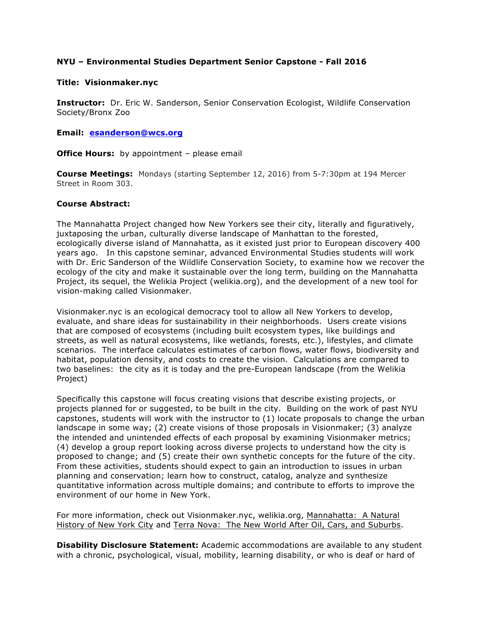## **NYU – Environmental Studies Department Senior Capstone - Fall 2016**

### **Title: Visionmaker.nyc**

**Instructor:** Dr. Eric W. Sanderson, Senior Conservation Ecologist, Wildlife Conservation Society/Bronx Zoo

#### **Email: esanderson@wcs.org**

**Office Hours:** by appointment – please email

**Course Meetings:** Mondays (starting September 12, 2016) from 5-7:30pm at 194 Mercer Street in Room 303.

## **Course Abstract:**

The Mannahatta Project changed how New Yorkers see their city, literally and figuratively, juxtaposing the urban, culturally diverse landscape of Manhattan to the forested, ecologically diverse island of Mannahatta, as it existed just prior to European discovery 400 years ago. In this capstone seminar, advanced Environmental Studies students will work with Dr. Eric Sanderson of the Wildlife Conservation Society, to examine how we recover the ecology of the city and make it sustainable over the long term, building on the Mannahatta Project, its sequel, the Welikia Project (welikia.org), and the development of a new tool for vision-making called Visionmaker.

Visionmaker.nyc is an ecological democracy tool to allow all New Yorkers to develop, evaluate, and share ideas for sustainability in their neighborhoods. Users create visions that are composed of ecosystems (including built ecosystem types, like buildings and streets, as well as natural ecosystems, like wetlands, forests, etc.), lifestyles, and climate scenarios. The interface calculates estimates of carbon flows, water flows, biodiversity and habitat, population density, and costs to create the vision. Calculations are compared to two baselines: the city as it is today and the pre-European landscape (from the Welikia Project)

Specifically this capstone will focus creating visions that describe existing projects, or projects planned for or suggested, to be built in the city. Building on the work of past NYU capstones, students will work with the instructor to (1) locate proposals to change the urban landscape in some way; (2) create visions of those proposals in Visionmaker; (3) analyze the intended and unintended effects of each proposal by examining Visionmaker metrics; (4) develop a group report looking across diverse projects to understand how the city is proposed to change; and (5) create their own synthetic concepts for the future of the city. From these activities, students should expect to gain an introduction to issues in urban planning and conservation; learn how to construct, catalog, analyze and synthesize quantitative information across multiple domains; and contribute to efforts to improve the environment of our home in New York.

For more information, check out Visionmaker.nyc, welikia.org, Mannahatta: A Natural History of New York City and Terra Nova: The New World After Oil, Cars, and Suburbs.

**Disability Disclosure Statement:** Academic accommodations are available to any student with a chronic, psychological, visual, mobility, learning disability, or who is deaf or hard of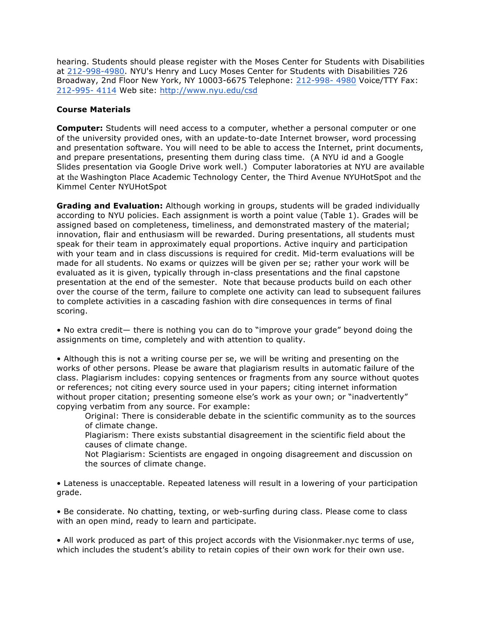hearing. Students should please register with the Moses Center for Students with Disabilities at 212-998-4980. NYU's Henry and Lucy Moses Center for Students with Disabilities 726 Broadway, 2nd Floor New York, NY 10003-6675 Telephone: 212-998- 4980 Voice/TTY Fax: 212-995- 4114 Web site: http://www.nyu.edu/csd

# **Course Materials**

**Computer:** Students will need access to a computer, whether a personal computer or one of the university provided ones, with an update-to-date Internet browser, word processing and presentation software. You will need to be able to access the Internet, print documents, and prepare presentations, presenting them during class time. (A NYU id and a Google Slides presentation via Google Drive work well.) Computer laboratories at NYU are available at the Washington Place Academic Technology Center, the Third Avenue NYUHotSpot and the Kimmel Center NYUHotSpot

**Grading and Evaluation:** Although working in groups, students will be graded individually according to NYU policies. Each assignment is worth a point value (Table 1). Grades will be assigned based on completeness, timeliness, and demonstrated mastery of the material; innovation, flair and enthusiasm will be rewarded. During presentations, all students must speak for their team in approximately equal proportions. Active inquiry and participation with your team and in class discussions is required for credit. Mid-term evaluations will be made for all students. No exams or quizzes will be given per se; rather your work will be evaluated as it is given, typically through in-class presentations and the final capstone presentation at the end of the semester. Note that because products build on each other over the course of the term, failure to complete one activity can lead to subsequent failures to complete activities in a cascading fashion with dire consequences in terms of final scoring.

• No extra credit— there is nothing you can do to "improve your grade" beyond doing the assignments on time, completely and with attention to quality.

• Although this is not a writing course per se, we will be writing and presenting on the works of other persons. Please be aware that plagiarism results in automatic failure of the class. Plagiarism includes: copying sentences or fragments from any source without quotes or references; not citing every source used in your papers; citing internet information without proper citation; presenting someone else's work as your own; or "inadvertently" copying verbatim from any source. For example:

Original: There is considerable debate in the scientific community as to the sources of climate change.

Plagiarism: There exists substantial disagreement in the scientific field about the causes of climate change.

Not Plagiarism: Scientists are engaged in ongoing disagreement and discussion on the sources of climate change.

• Lateness is unacceptable. Repeated lateness will result in a lowering of your participation grade.

• Be considerate. No chatting, texting, or web-surfing during class. Please come to class with an open mind, ready to learn and participate.

• All work produced as part of this project accords with the Visionmaker.nyc terms of use, which includes the student's ability to retain copies of their own work for their own use.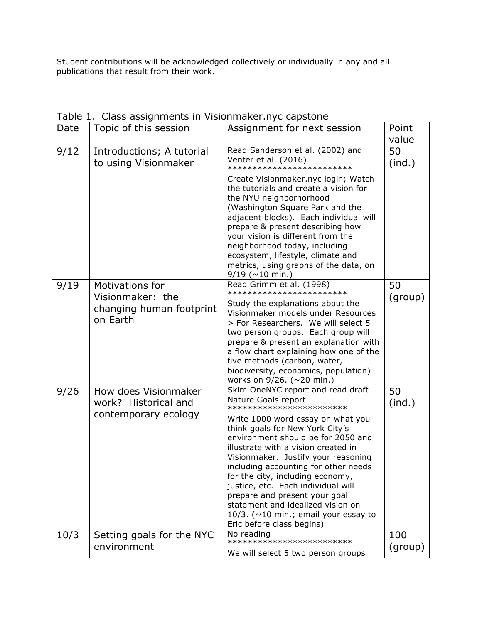Student contributions will be acknowledged collectively or individually in any and all publications that result from their work.

| Date | Topic of this session     | Assignment for next session                                                 | Point   |
|------|---------------------------|-----------------------------------------------------------------------------|---------|
|      |                           |                                                                             | value   |
| 9/12 | Introductions; A tutorial | Read Sanderson et al. (2002) and                                            | 50      |
|      | to using Visionmaker      | Venter et al. (2016)                                                        | (ind.)  |
|      |                           | *************************                                                   |         |
|      |                           | Create Visionmaker.nyc login; Watch                                         |         |
|      |                           | the tutorials and create a vision for                                       |         |
|      |                           | the NYU neighborhorhood                                                     |         |
|      |                           | (Washington Square Park and the                                             |         |
|      |                           | adjacent blocks). Each individual will                                      |         |
|      |                           | prepare & present describing how                                            |         |
|      |                           | your vision is different from the<br>neighborhood today, including          |         |
|      |                           | ecosystem, lifestyle, climate and                                           |         |
|      |                           | metrics, using graphs of the data, on                                       |         |
|      |                           | $9/19$ ( $\sim$ 10 min.)                                                    |         |
| 9/19 | <b>Motivations for</b>    | Read Grimm et al. (1998)                                                    | 50      |
|      | Visionmaker: the          | ************************                                                    | (group) |
|      | changing human footprint  | Study the explanations about the                                            |         |
|      | on Earth                  | Visionmaker models under Resources                                          |         |
|      |                           | > For Researchers. We will select 5                                         |         |
|      |                           | two person groups. Each group will                                          |         |
|      |                           | prepare & present an explanation with                                       |         |
|      |                           | a flow chart explaining how one of the<br>five methods (carbon, water,      |         |
|      |                           | biodiversity, economics, population)                                        |         |
|      |                           | works on 9/26. (~20 min.)                                                   |         |
| 9/26 | How does Visionmaker      | Skim OneNYC report and read draft                                           | 50      |
|      | work? Historical and      | Nature Goals report                                                         | (ind.)  |
|      | contemporary ecology      | ************************                                                    |         |
|      |                           | Write 1000 word essay on what you                                           |         |
|      |                           | think goals for New York City's                                             |         |
|      |                           | environment should be for 2050 and                                          |         |
|      |                           | illustrate with a vision created in                                         |         |
|      |                           | Visionmaker. Justify your reasoning<br>including accounting for other needs |         |
|      |                           | for the city, including economy,                                            |         |
|      |                           | justice, etc. Each individual will                                          |         |
|      |                           | prepare and present your goal                                               |         |
|      |                           | statement and idealized vision on                                           |         |
|      |                           | 10/3. ( $\sim$ 10 min.; email your essay to                                 |         |
|      |                           | Eric before class begins)                                                   |         |
| 10/3 | Setting goals for the NYC | No reading                                                                  | 100     |
|      | environment               | **************************                                                  | (group) |
|      |                           | We will select 5 two person groups                                          |         |

Table 1. Class assignments in Visionmaker.nyc capstone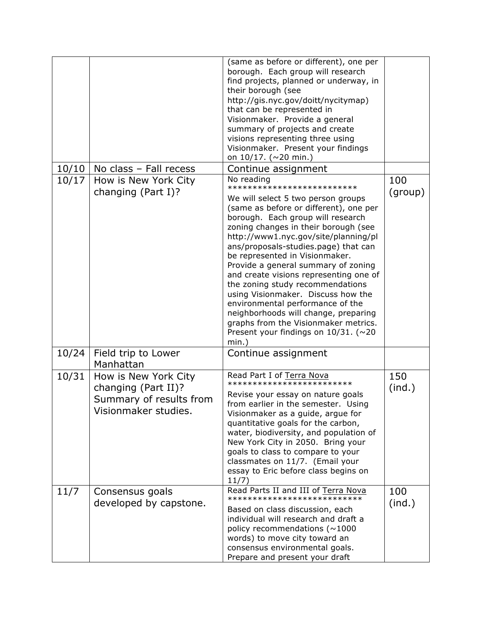|       |                                                                                                | (same as before or different), one per<br>borough. Each group will research<br>find projects, planned or underway, in<br>their borough (see<br>http://gis.nyc.gov/doitt/nycitymap)<br>that can be represented in<br>Visionmaker. Provide a general<br>summary of projects and create<br>visions representing three using<br>Visionmaker. Present your findings<br>on $10/17.$ (~20 min.)                                                                                                                                                                                                                                                                     |                |
|-------|------------------------------------------------------------------------------------------------|--------------------------------------------------------------------------------------------------------------------------------------------------------------------------------------------------------------------------------------------------------------------------------------------------------------------------------------------------------------------------------------------------------------------------------------------------------------------------------------------------------------------------------------------------------------------------------------------------------------------------------------------------------------|----------------|
| 10/10 | No class - Fall recess                                                                         | Continue assignment                                                                                                                                                                                                                                                                                                                                                                                                                                                                                                                                                                                                                                          |                |
| 10/17 | How is New York City<br>changing (Part I)?                                                     | No reading<br>**************************<br>We will select 5 two person groups<br>(same as before or different), one per<br>borough. Each group will research<br>zoning changes in their borough (see<br>http://www1.nyc.gov/site/planning/pl<br>ans/proposals-studies.page) that can<br>be represented in Visionmaker.<br>Provide a general summary of zoning<br>and create visions representing one of<br>the zoning study recommendations<br>using Visionmaker. Discuss how the<br>environmental performance of the<br>neighborhoods will change, preparing<br>graphs from the Visionmaker metrics.<br>Present your findings on $10/31.$ (~20<br>$min.$ ) | 100<br>(group) |
| 10/24 | Field trip to Lower<br>Manhattan                                                               | Continue assignment                                                                                                                                                                                                                                                                                                                                                                                                                                                                                                                                                                                                                                          |                |
| 10/31 | How is New York City<br>changing (Part II)?<br>Summary of results from<br>Visionmaker studies. | Read Part I of Terra Nova<br>*************************<br>Revise your essay on nature goals<br>from earlier in the semester. Using<br>Visionmaker as a guide, argue for<br>quantitative goals for the carbon,<br>water, biodiversity, and population of<br>New York City in 2050. Bring your<br>goals to class to compare to your<br>classmates on 11/7. (Email your<br>essay to Eric before class begins on<br>11/7)                                                                                                                                                                                                                                        | 150<br>(ind.)  |
| 11/7  | Consensus goals<br>developed by capstone.                                                      | Read Parts II and III of Terra Nova<br>***************************<br>Based on class discussion, each<br>individual will research and draft a<br>policy recommendations ( $\sim$ 1000<br>words) to move city toward an<br>consensus environmental goals.<br>Prepare and present your draft                                                                                                                                                                                                                                                                                                                                                                   | 100<br>(ind.)  |